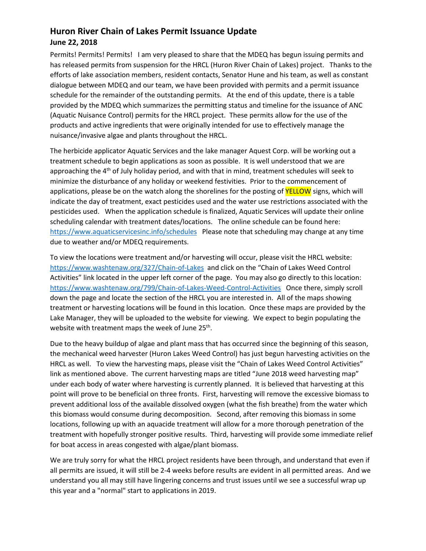## **Huron River Chain of Lakes Permit Issuance Update June 22, 2018**

Permits! Permits! Permits! I am very pleased to share that the MDEQ has begun issuing permits and has released permits from suspension for the HRCL (Huron River Chain of Lakes) project. Thanks to the efforts of lake association members, resident contacts, Senator Hune and his team, as well as constant dialogue between MDEQ and our team, we have been provided with permits and a permit issuance schedule for the remainder of the outstanding permits. At the end of this update, there is a table provided by the MDEQ which summarizes the permitting status and timeline for the issuance of ANC (Aquatic Nuisance Control) permits for the HRCL project. These permits allow for the use of the products and active ingredients that were originally intended for use to effectively manage the nuisance/invasive algae and plants throughout the HRCL.

The herbicide applicator Aquatic Services and the lake manager Aquest Corp. will be working out a treatment schedule to begin applications as soon as possible. It is well understood that we are approaching the  $4<sup>th</sup>$  of July holiday period, and with that in mind, treatment schedules will seek to minimize the disturbance of any holiday or weekend festivities. Prior to the commencement of applications, please be on the watch along the shorelines for the posting of **YELLOW** signs, which will indicate the day of treatment, exact pesticides used and the water use restrictions associated with the pesticides used. When the application schedule is finalized, Aquatic Services will update their online scheduling calendar with treatment dates/locations. The online schedule can be found here: <https://www.aquaticservicesinc.info/schedules>Please note that scheduling may change at any time due to weather and/or MDEQ requirements.

To view the locations were treatment and/or harvesting will occur, please visit the HRCL website: <https://www.washtenaw.org/327/Chain-of-Lakes>and click on the "Chain of Lakes Weed Control Activities" link located in the upper left corner of the page. You may also go directly to this location: <https://www.washtenaw.org/799/Chain-of-Lakes-Weed-Control-Activities>Once there, simply scroll down the page and locate the section of the HRCL you are interested in. All of the maps showing treatment or harvesting locations will be found in this location. Once these maps are provided by the Lake Manager, they will be uploaded to the website for viewing. We expect to begin populating the website with treatment maps the week of June 25<sup>th</sup>.

Due to the heavy buildup of algae and plant mass that has occurred since the beginning of this season, the mechanical weed harvester (Huron Lakes Weed Control) has just begun harvesting activities on the HRCL as well. To view the harvesting maps, please visit the "Chain of Lakes Weed Control Activities" link as mentioned above. The current harvesting maps are titled "June 2018 weed harvesting map" under each body of water where harvesting is currently planned. It is believed that harvesting at this point will prove to be beneficial on three fronts. First, harvesting will remove the excessive biomass to prevent additional loss of the available dissolved oxygen (what the fish breathe) from the water which this biomass would consume during decomposition. Second, after removing this biomass in some locations, following up with an aquacide treatment will allow for a more thorough penetration of the treatment with hopefully stronger positive results. Third, harvesting will provide some immediate relief for boat access in areas congested with algae/plant biomass.

We are truly sorry for what the HRCL project residents have been through, and understand that even if all permits are issued, it will still be 2-4 weeks before results are evident in all permitted areas. And we understand you all may still have lingering concerns and trust issues until we see a successful wrap up this year and a "normal" start to applications in 2019.